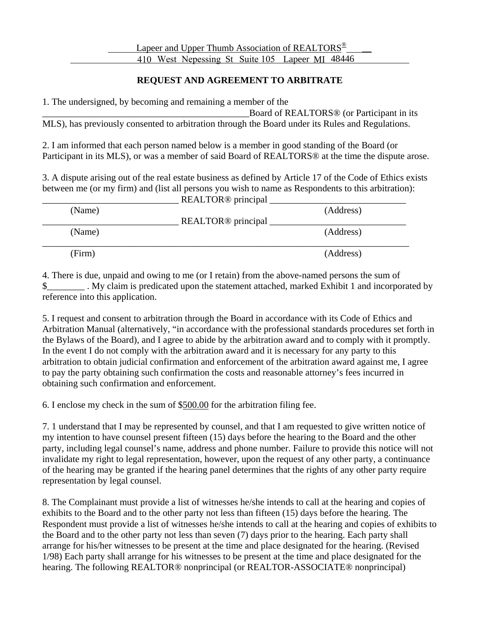## **REQUEST AND AGREEMENT TO ARBITRATE**

1. The undersigned, by becoming and remaining a member of the

Board of REALTORS<sup>®</sup> (or Participant in its MLS), has previously consented to arbitration through the Board under its Rules and Regulations.

2. I am informed that each person named below is a member in good standing of the Board (or Participant in its MLS), or was a member of said Board of REALTORS® at the time the dispute arose.

3. A dispute arising out of the real estate business as defined by Article 17 of the Code of Ethics exists between me (or my firm) and (list all persons you wish to name as Respondents to this arbitration):  $\overline{D}EATTOP@ min'$ 

| (Name) | REALTOR <sup>®</sup> principal | (Address) |
|--------|--------------------------------|-----------|
| (Name) | REALTOR <sup>®</sup> principal | (Address) |
| (Firm) |                                | (Address) |

4. There is due, unpaid and owing to me (or I retain) from the above-named persons the sum of \$\_\_\_\_\_\_\_\_ . My claim is predicated upon the statement attached, marked Exhibit 1 and incorporated by reference into this application.

5. I request and consent to arbitration through the Board in accordance with its Code of Ethics and Arbitration Manual (alternatively, "in accordance with the professional standards procedures set forth in the Bylaws of the Board), and I agree to abide by the arbitration award and to comply with it promptly. In the event I do not comply with the arbitration award and it is necessary for any party to this arbitration to obtain judicial confirmation and enforcement of the arbitration award against me, I agree to pay the party obtaining such confirmation the costs and reasonable attorney's fees incurred in obtaining such confirmation and enforcement.

6. I enclose my check in the sum of \$500.00 for the arbitration filing fee.

7. 1 understand that I may be represented by counsel, and that I am requested to give written notice of my intention to have counsel present fifteen (15) days before the hearing to the Board and the other party, including legal counsel's name, address and phone number. Failure to provide this notice will not invalidate my right to legal representation, however, upon the request of any other party, a continuance of the hearing may be granted if the hearing panel determines that the rights of any other party require representation by legal counsel.

8. The Complainant must provide a list of witnesses he/she intends to call at the hearing and copies of exhibits to the Board and to the other party not less than fifteen (15) days before the hearing. The Respondent must provide a list of witnesses he/she intends to call at the hearing and copies of exhibits to the Board and to the other party not less than seven (7) days prior to the hearing. Each party shall arrange for his/her witnesses to be present at the time and place designated for the hearing. (Revised 1/98) Each party shall arrange for his witnesses to be present at the time and place designated for the hearing. The following REALTOR® nonprincipal (or REALTOR-ASSOCIATE® nonprincipal)